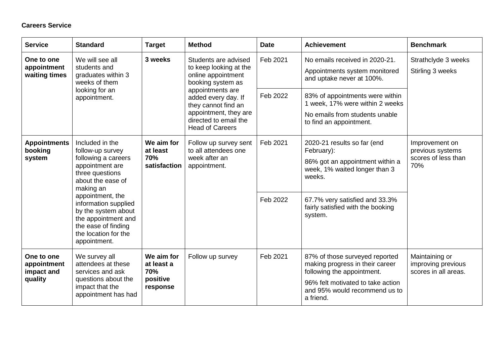## **Careers Service**

| <b>Service</b>                                     | <b>Standard</b>                                                                                                                                                                                                                                                                             | <b>Target</b>                                           | <b>Method</b>                                                                                                                                                                                                                           | <b>Date</b>          | <b>Achievement</b>                                                                                                                                                                                        | <b>Benchmark</b>                                                 |
|----------------------------------------------------|---------------------------------------------------------------------------------------------------------------------------------------------------------------------------------------------------------------------------------------------------------------------------------------------|---------------------------------------------------------|-----------------------------------------------------------------------------------------------------------------------------------------------------------------------------------------------------------------------------------------|----------------------|-----------------------------------------------------------------------------------------------------------------------------------------------------------------------------------------------------------|------------------------------------------------------------------|
| One to one<br>appointment<br>waiting times         | We will see all<br>students and<br>graduates within 3<br>weeks of them<br>looking for an<br>appointment.                                                                                                                                                                                    | 3 weeks                                                 | Students are advised<br>to keep looking at the<br>online appointment<br>booking system as<br>appointments are<br>added every day. If<br>they cannot find an<br>appointment, they are<br>directed to email the<br><b>Head of Careers</b> | Feb 2021             | No emails received in 2020-21.<br>Appointments system monitored<br>and uptake never at 100%.                                                                                                              | Strathclyde 3 weeks<br>Stirling 3 weeks                          |
|                                                    |                                                                                                                                                                                                                                                                                             |                                                         |                                                                                                                                                                                                                                         | Feb 2022             | 83% of appointments were within<br>1 week, 17% were within 2 weeks<br>No emails from students unable<br>to find an appointment.                                                                           |                                                                  |
| <b>Appointments</b><br>booking<br>system           | Included in the<br>follow-up survey<br>following a careers<br>appointment are<br>three questions<br>about the ease of<br>making an<br>appointment, the<br>information supplied<br>by the system about<br>the appointment and<br>the ease of finding<br>the location for the<br>appointment. | We aim for<br>at least<br>70%<br>satisfaction           | Follow up survey sent<br>to all attendees one<br>week after an<br>appointment.                                                                                                                                                          | Feb 2021<br>Feb 2022 | 2020-21 results so far (end<br>February):<br>86% got an appointment within a<br>week, 1% waited longer than 3<br>weeks.<br>67.7% very satisfied and 33.3%<br>fairly satisfied with the booking<br>system. | Improvement on<br>previous systems<br>scores of less than<br>70% |
| One to one<br>appointment<br>impact and<br>quality | We survey all<br>attendees at these<br>services and ask<br>questions about the<br>impact that the<br>appointment has had                                                                                                                                                                    | We aim for<br>at least a<br>70%<br>positive<br>response | Follow up survey                                                                                                                                                                                                                        | Feb 2021             | 87% of those surveyed reported<br>making progress in their career<br>following the appointment.<br>96% felt motivated to take action<br>and 95% would recommend us to<br>a friend.                        | Maintaining or<br>improving previous<br>scores in all areas.     |